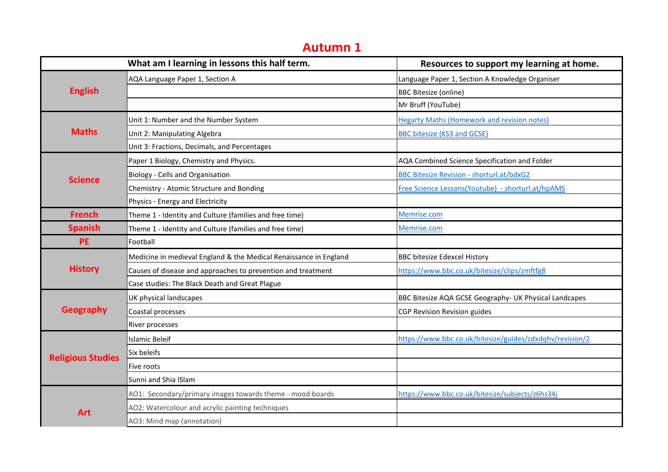## **Autumn 1**

|                          | What am I learning in lessons this half term.                     | Resources to support my learning at home.                |
|--------------------------|-------------------------------------------------------------------|----------------------------------------------------------|
| <b>English</b>           | AQA Language Paper 1, Section A                                   | Language Paper 1, Section A Knowledge Organiser          |
|                          |                                                                   | <b>BBC Bitesize (online)</b>                             |
|                          |                                                                   | Mr Bruff (YouTube)                                       |
| <b>Maths</b>             | Unit 1: Number and the Number System                              | <b>Hegarty Maths (Homework and revision notes)</b>       |
|                          | Unit 2: Manipulating Algebra                                      | <b>BBC bitesize (KS3 and GCSE)</b>                       |
|                          | Unit 3: Fractions, Decimals, and Percentages                      |                                                          |
| <b>Science</b>           | Paper 1 Biology, Chemistry and Physics.                           | AQA Combined Science Specification and Folder            |
|                          | Biology - Cells and Organisation                                  | <b>BBC Bitesize Revision - shorturl.at/bdxG2</b>         |
|                          | Chemistry - Atomic Structure and Bonding                          | Free Science Lessons(Youtube) - shorturl.at/hpAMS        |
|                          | Physics - Energy and Electricity                                  |                                                          |
| <b>French</b>            | Theme 1 - Identity and Culture (families and free time)           | Memrise.com                                              |
| <b>Spanish</b>           | Theme 1 - Identity and Culture (families and free time)           | Memrise.com                                              |
| <b>PE</b>                | Football                                                          |                                                          |
| <b>History</b>           | Medicine in medieval England & the Medical Renaissance in England | <b>BBC bitesize Edexcel History</b>                      |
|                          | Causes of disease and approaches to prevention and treatment      | https://www.bbc.co.uk/bitesize/clips/zmftfg8             |
|                          | Case studies: The Black Death and Great Plague                    |                                                          |
| <b>Geography</b>         | UK physical landscapes                                            | BBC Bitesize AQA GCSE Geography- UK Physical Landcapes   |
|                          | Coastal processes                                                 | CGP Revision Revision guides                             |
|                          | River processes                                                   |                                                          |
| <b>Religious Studies</b> | Islamic Beleif                                                    | https://www.bbc.co.uk/bitesize/guides/zdxdqhv/revision/2 |
|                          | Six beleifs                                                       |                                                          |
|                          | Five roots                                                        |                                                          |
|                          | Sunni and Shia ISlam                                              |                                                          |
| <b>Art</b>               | AO1: Secondary/primary images towards theme - mood boards         | https://www.bbc.co.uk/bitesize/subjects/z6hs34j          |
|                          | AO2: Watercolour and acrylic painting techniques                  |                                                          |
|                          | AO3: Mind map (annotation)                                        |                                                          |